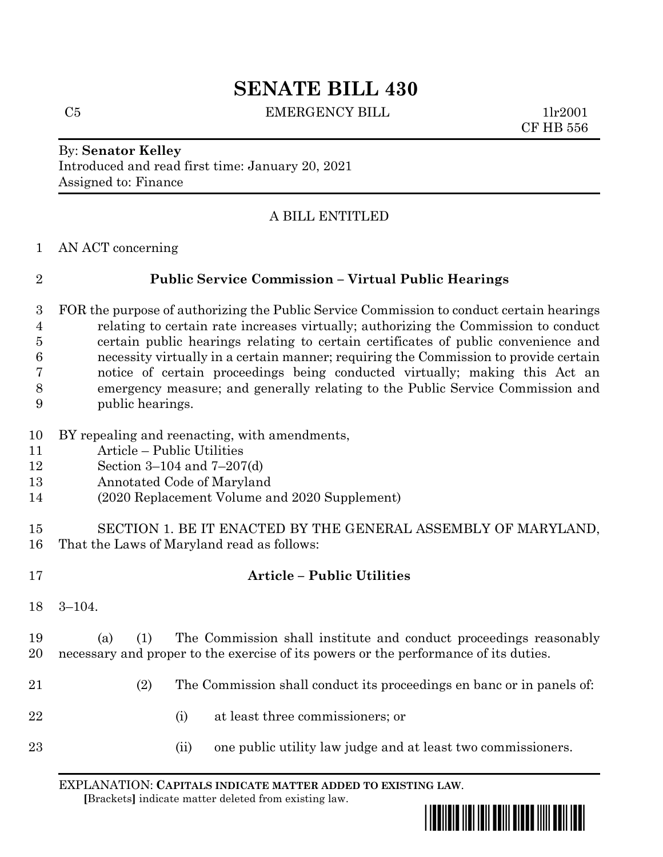# **SENATE BILL 430**

C5 EMERGENCY BILL 1lr2001

CF HB 556

### By: **Senator Kelley** Introduced and read first time: January 20, 2021 Assigned to: Finance

# A BILL ENTITLED

AN ACT concerning

## **Public Service Commission – Virtual Public Hearings**

- FOR the purpose of authorizing the Public Service Commission to conduct certain hearings relating to certain rate increases virtually; authorizing the Commission to conduct certain public hearings relating to certain certificates of public convenience and necessity virtually in a certain manner; requiring the Commission to provide certain notice of certain proceedings being conducted virtually; making this Act an emergency measure; and generally relating to the Public Service Commission and public hearings.
- BY repealing and reenacting, with amendments,
- Article Public Utilities
- Section 3–104 and 7–207(d)
- Annotated Code of Maryland
- (2020 Replacement Volume and 2020 Supplement)

**Article – Public Utilities**

- SECTION 1. BE IT ENACTED BY THE GENERAL ASSEMBLY OF MARYLAND, That the Laws of Maryland read as follows:
- 3–104.
- (a) (1) The Commission shall institute and conduct proceedings reasonably necessary and proper to the exercise of its powers or the performance of its duties.
- (2) The Commission shall conduct its proceedings en banc or in panels of:
- (i) at least three commissioners; or
- 23 (ii) one public utility law judge and at least two commissioners.

EXPLANATION: **CAPITALS INDICATE MATTER ADDED TO EXISTING LAW**.  **[**Brackets**]** indicate matter deleted from existing law.

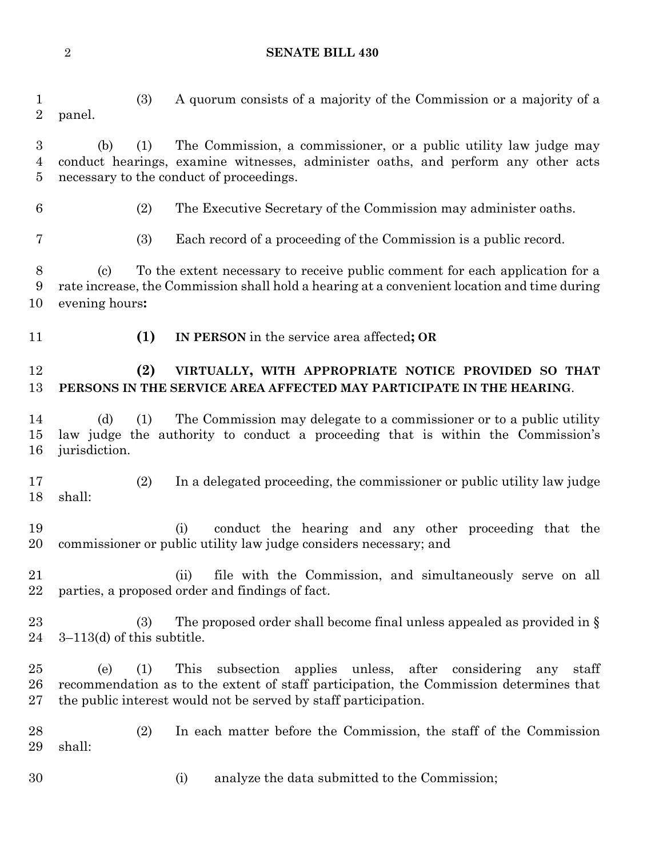**SENATE BILL 430**

 (3) A quorum consists of a majority of the Commission or a majority of a panel. (b) (1) The Commission, a commissioner, or a public utility law judge may conduct hearings, examine witnesses, administer oaths, and perform any other acts necessary to the conduct of proceedings. (2) The Executive Secretary of the Commission may administer oaths. (3) Each record of a proceeding of the Commission is a public record. (c) To the extent necessary to receive public comment for each application for a rate increase, the Commission shall hold a hearing at a convenient location and time during evening hours**: (1) IN PERSON** in the service area affected**; OR (2) VIRTUALLY, WITH APPROPRIATE NOTICE PROVIDED SO THAT PERSONS IN THE SERVICE AREA AFFECTED MAY PARTICIPATE IN THE HEARING**. (d) (1) The Commission may delegate to a commissioner or to a public utility law judge the authority to conduct a proceeding that is within the Commission's jurisdiction. (2) In a delegated proceeding, the commissioner or public utility law judge shall: (i) conduct the hearing and any other proceeding that the commissioner or public utility law judge considers necessary; and (ii) file with the Commission, and simultaneously serve on all parties, a proposed order and findings of fact. 23 (3) The proposed order shall become final unless appealed as provided in § 3–113(d) of this subtitle. (e) (1) This subsection applies unless, after considering any staff recommendation as to the extent of staff participation, the Commission determines that the public interest would not be served by staff participation. (2) In each matter before the Commission, the staff of the Commission shall: (i) analyze the data submitted to the Commission;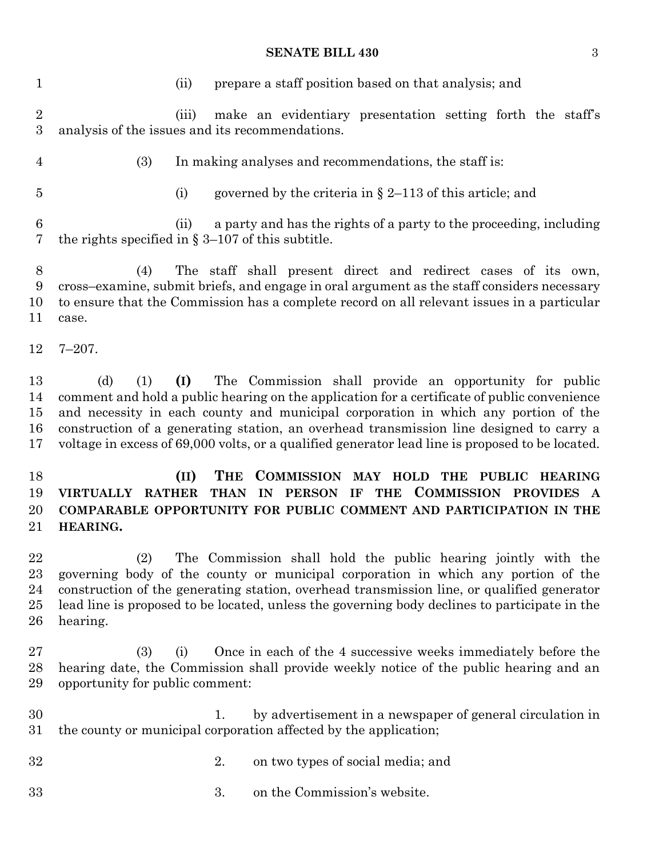#### **SENATE BILL 430** 3

 (ii) prepare a staff position based on that analysis; and (iii) make an evidentiary presentation setting forth the staff's analysis of the issues and its recommendations. (3) In making analyses and recommendations, the staff is: (i) governed by the criteria in § 2–113 of this article; and (ii) a party and has the rights of a party to the proceeding, including the rights specified in § 3–107 of this subtitle. (4) The staff shall present direct and redirect cases of its own, cross–examine, submit briefs, and engage in oral argument as the staff considers necessary to ensure that the Commission has a complete record on all relevant issues in a particular case. 7–207. (d) (1) **(I)** The Commission shall provide an opportunity for public comment and hold a public hearing on the application for a certificate of public convenience and necessity in each county and municipal corporation in which any portion of the construction of a generating station, an overhead transmission line designed to carry a voltage in excess of 69,000 volts, or a qualified generator lead line is proposed to be located. **(II) THE COMMISSION MAY HOLD THE PUBLIC HEARING VIRTUALLY RATHER THAN IN PERSON IF THE COMMISSION PROVIDES A COMPARABLE OPPORTUNITY FOR PUBLIC COMMENT AND PARTICIPATION IN THE HEARING.** (2) The Commission shall hold the public hearing jointly with the governing body of the county or municipal corporation in which any portion of the construction of the generating station, overhead transmission line, or qualified generator lead line is proposed to be located, unless the governing body declines to participate in the hearing. (3) (i) Once in each of the 4 successive weeks immediately before the hearing date, the Commission shall provide weekly notice of the public hearing and an opportunity for public comment: 1. by advertisement in a newspaper of general circulation in the county or municipal corporation affected by the application; 2. on two types of social media; and 3. on the Commission's website.